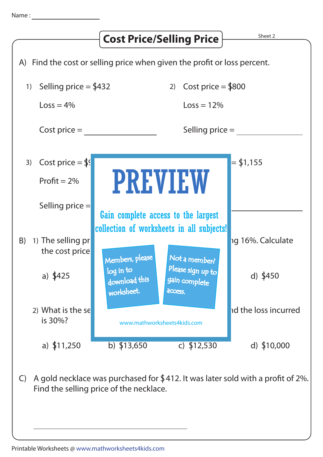

C) A gold necklace was purchased for  $$412.$  It was later sold with a profit of 2%. Find the selling price of the necklace.